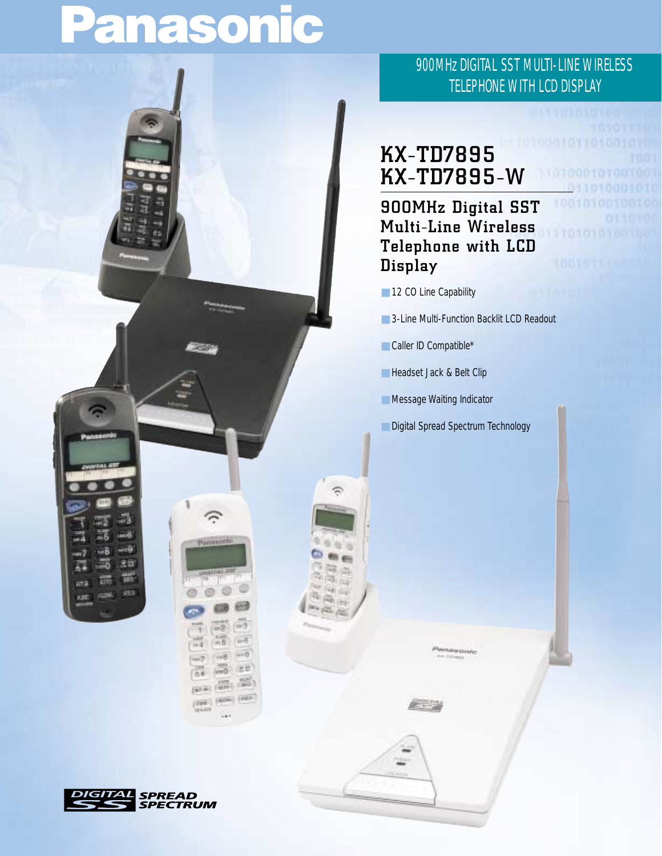# Panasonic



### 900MHz DIGITAL SST MULTI-LINE WIRELESS TELEPHONE WITH LCD DISPLAY

## **KX-TD7895 KX-TD7895-W**

**900MHz Digital SST Multi-Line Wireless Telephone with LCD Display**

- 12 CO Line Capability
- 3-Line Multi-Function Backlit LCD Readout
- Caller ID Compatible\*
- Headset Jack & Belt Clip
- Message Waiting Indicator
- Digital Spread Spectrum Technology

**AL** SPREAD<br>SPECTRUM